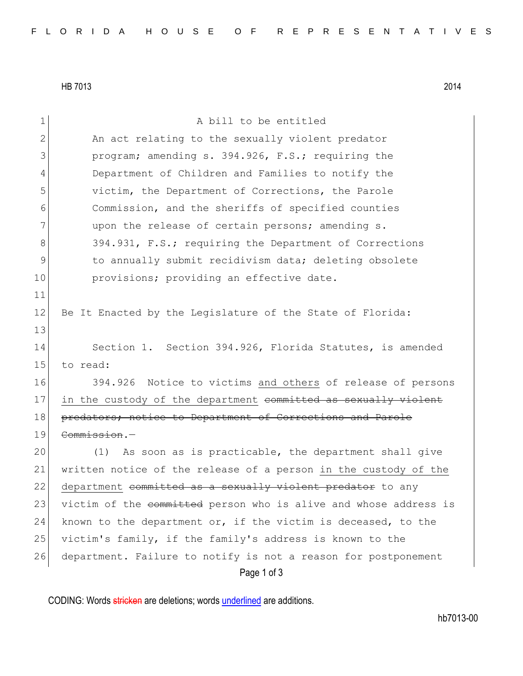HB 7013 2014

11

13

1 a bill to be entitled 2 An act relating to the sexually violent predator 3 program; amending s. 394.926, F.S.; requiring the 4 Department of Children and Families to notify the 5 victim, the Department of Corrections, the Parole 6 Commission, and the sheriffs of specified counties 7 and 7 upon the release of certain persons; amending s. 8 394.931, F.S.; requiring the Department of Corrections 9 10 10 to annually submit recidivism data; deleting obsolete 10 **provisions;** providing an effective date. 12 Be It Enacted by the Legislature of the State of Florida: 14 Section 1. Section 394.926, Florida Statutes, is amended 15 to read: 16 394.926 Notice to victims and others of release of persons 17 in the custody of the department committed as sexually violent 18 predators; notice to Department of Corrections and Parole 19 Commission.— 20 (1) As soon as is practicable, the department shall give 21 written notice of the release of a person in the custody of the 22 department committed as a sexually violent predator to any 23 victim of the committed person who is alive and whose address is 24 known to the department or, if the victim is deceased, to the 25 victim's family, if the family's address is known to the 26 department. Failure to notify is not a reason for postponement

Page 1 of 3

CODING: Words stricken are deletions; words underlined are additions.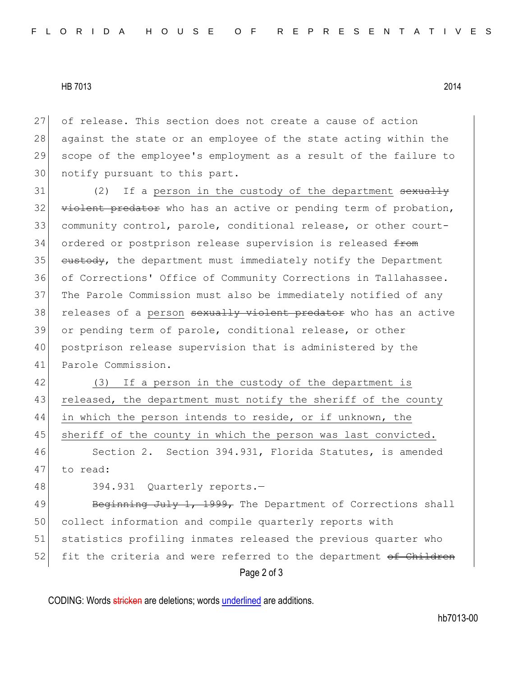HB 7013 2014

27 of release. This section does not create a cause of action 28 against the state or an employee of the state acting within the 29 scope of the employee's employment as a result of the failure to 30 notify pursuant to this part.

31 (2) If a person in the custody of the department <del>sexually</del>  $32$  violent predator who has an active or pending term of probation, 33 community control, parole, conditional release, or other court-34 ordered or postprison release supervision is released <del>from</del> 35 custody, the department must immediately notify the Department 36 of Corrections' Office of Community Corrections in Tallahassee. 37 The Parole Commission must also be immediately notified of any 38 releases of a person sexually violent predator who has an active 39 or pending term of parole, conditional release, or other 40 postprison release supervision that is administered by the 41 Parole Commission.

42 (3) If a person in the custody of the department is 43 released, the department must notify the sheriff of the county 44 in which the person intends to reside, or if unknown, the 45 | sheriff of the county in which the person was last convicted.

46 Section 2. Section 394.931, Florida Statutes, is amended 47 to read:

48 394.931 Quarterly reports.

Page 2 of 3 49 Beginning July 1, 1999, The Department of Corrections shall 50 collect information and compile quarterly reports with 51 statistics profiling inmates released the previous quarter who 52 fit the criteria and were referred to the department of Children

CODING: Words stricken are deletions; words underlined are additions.